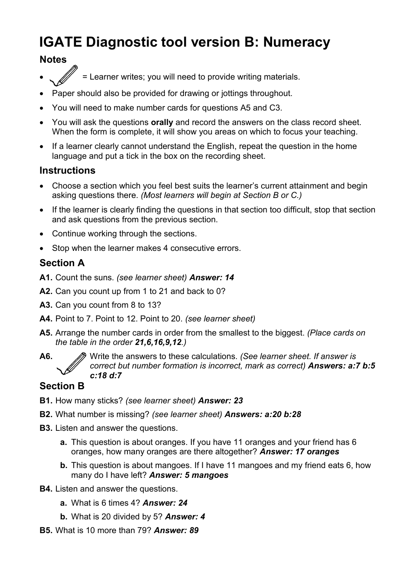# **IGATE Diagnostic tool version B: Numeracy**

### **Notes**

- = Learner writes; you will need to provide writing materials.
- Paper should also be provided for drawing or jottings throughout.
- You will need to make number cards for questions A5 and C3.
- You will ask the questions **orally** and record the answers on the class record sheet. When the form is complete, it will show you areas on which to focus your teaching.
- If a learner clearly cannot understand the English, repeat the question in the home language and put a tick in the box on the recording sheet.

#### **Instructions**

- Choose a section which you feel best suits the learner's current attainment and begin asking questions there. *(Most learners will begin at Section B or C.)*
- If the learner is clearly finding the questions in that section too difficult, stop that section and ask questions from the previous section.
- Continue working through the sections.
- Stop when the learner makes 4 consecutive errors.

### **Section A**

- **A1.** Count the suns. *(see learner sheet) Answer: 14*
- **A2.** Can you count up from 1 to 21 and back to 0?
- **A3.** Can you count from 8 to 13?
- **A4.** Point to 7. Point to 12. Point to 20. *(see learner sheet)*
- **A5.** Arrange the number cards in order from the smallest to the biggest. *(Place cards on the table in the order 21,6,16,9,12.)*
- 

**A6.** Write the answers to these calculations. *(See learner sheet. If answer is correct but number formation is incorrect, mark as correct) Answers: a:7 b:5 c:18 d:7*

### **Section B**

- **B1.** How many sticks? *(see learner sheet) Answer: 23*
- **B2.** What number is missing? *(see learner sheet) Answers: a:20 b:28*
- **B3.** Listen and answer the questions.
	- **a.** This question is about oranges. If you have 11 oranges and your friend has 6 oranges, how many oranges are there altogether? *Answer: 17 oranges*
	- **b.** This question is about mangoes. If I have 11 mangoes and my friend eats 6, how many do I have left? *Answer: 5 mangoes*
- **B4.** Listen and answer the questions.
	- **a.** What is 6 times 4? *Answer: 24*
	- **b.** What is 20 divided by 5? *Answer: 4*
- **B5.** What is 10 more than 79? *Answer: 89*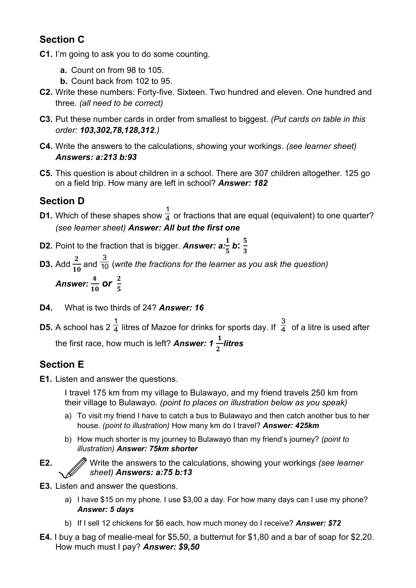## **Section C**

- **C1.** I'm going to ask you to do some counting.
	- **a.** Count on from 98 to 105.
	- **b.** Count back from 102 to 95.
- **C2.** Write these numbers: Forty-five. Sixteen. Two hundred and eleven. One hundred and three*. (all need to be correct)*
- **C3.** Put these number cards in order from smallest to biggest. *(Put cards on table in this order: 103,302,78,128,312.)*
- **C4.** Write the answers to the calculations, showing your workings. *(see learner sheet) Answers: a:213 b:93*
- **C5.** This question is about children in a school. There are 307 children altogether. 125 go on a field trip. How many are left in school? *Answer: 182*

## **Section D**

- **D1.** Which of these shapes show 1  $\overline{4}$  or fractions that are equal (equivalent) to one quarter? *(see learner sheet) Answer: All but the first one*
- **D2.** Point to the fraction that is bigger. Answer:  $a:\frac{1}{5}$  b:  $\frac{5}{3}$ 3
- **D3.** Add  $\frac{2}{16}$ 10 and 3  $\overline{{10}}$  (write the fractions for the learner as you ask the question)

Answer: 
$$
\frac{4}{10}
$$
 or  $\frac{2}{5}$ 

- **D4.** What is two thirds of 24? *Answer: 16*
- **D5.** A school has 2 1  $\overline{4}$  litres of Mazoe for drinks for sports day. If 3  $\overline{4}$  of a litre is used after the first race, how much is left? *Answer: 1*  $\frac{1}{2}$  $\mathbf{z}$ *litres*

## **Section E**

**E1.** Listen and answer the questions.

I travel 175 km from my village to Bulawayo, and my friend travels 250 km from their village to Bulawayo*. (point to places on illustration below as you speak)* 

- a) To visit my friend I have to catch a bus to Bulawayo and then catch another bus to her house. *(point to illustration)* How many km do I travel? *Answer: 425km*
- b) How much shorter is my journey to Bulawayo than my friend's journey? *(point to illustration) Answer: 75km shorter*

**E2.** Write the answers to the calculations, showing your workings *(see learner sheet) Answers: a:75 b:13*

- **E3.** Listen and answer the questions.
	- a) I have \$15 on my phone. I use \$3,00 a day. For how many days can I use my phone? *Answer: 5 days*
	- b) If I sell 12 chickens for \$6 each, how much money do I receive? *Answer: \$72*
- **E4.** I buy a bag of mealie-meal for \$5,50, a butternut for \$1,80 and a bar of soap for \$2,20. How much must I pay? *Answer: \$9,50*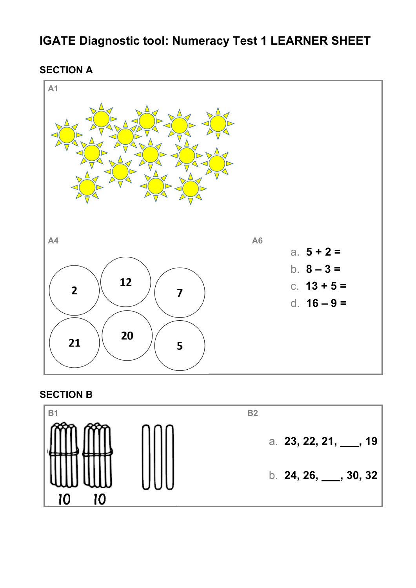## **IGATE Diagnostic tool: Numeracy Test 1 LEARNER SHEET**

**SECTION A**



### **SECTION B**

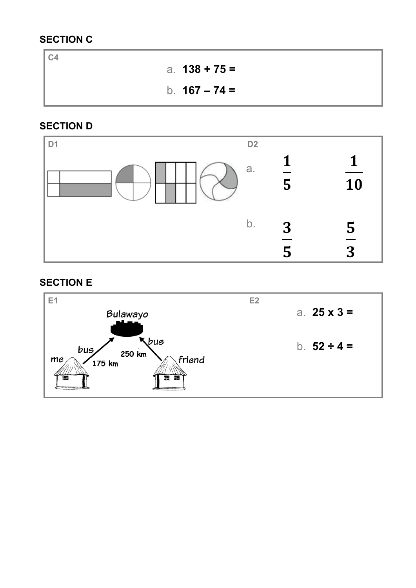### **SECTION C**

**C4**  a. **138 + 75 =** b. **167 – 74 =**

### **SECTION D**



### **SECTION E**

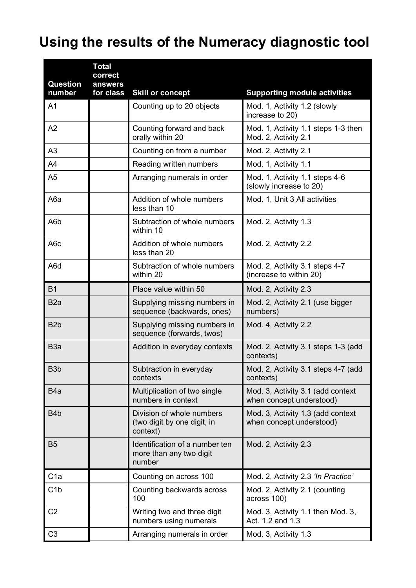# **Using the results of the Numeracy diagnostic tool**

| <b>Question</b><br>number | <b>Total</b><br>correct<br>answers<br>for class | <b>Skill or concept</b>                                              | <b>Supporting module activities</b>                           |
|---------------------------|-------------------------------------------------|----------------------------------------------------------------------|---------------------------------------------------------------|
| A <sub>1</sub>            |                                                 | Counting up to 20 objects                                            | Mod. 1, Activity 1.2 (slowly<br>increase to 20)               |
| A2                        |                                                 | Counting forward and back<br>orally within 20                        | Mod. 1, Activity 1.1 steps 1-3 then<br>Mod. 2, Activity 2.1   |
| A <sub>3</sub>            |                                                 | Counting on from a number                                            | Mod. 2, Activity 2.1                                          |
| A4                        |                                                 | Reading written numbers                                              | Mod. 1, Activity 1.1                                          |
| A <sub>5</sub>            |                                                 | Arranging numerals in order                                          | Mod. 1, Activity 1.1 steps 4-6<br>(slowly increase to 20)     |
| A6a                       |                                                 | Addition of whole numbers<br>less than 10                            | Mod. 1, Unit 3 All activities                                 |
| A6b                       |                                                 | Subtraction of whole numbers<br>within 10                            | Mod. 2, Activity 1.3                                          |
| A <sub>6</sub> c          |                                                 | Addition of whole numbers<br>less than 20                            | Mod. 2, Activity 2.2                                          |
| A6d                       |                                                 | Subtraction of whole numbers<br>within 20                            | Mod. 2, Activity 3.1 steps 4-7<br>(increase to within 20)     |
| <b>B1</b>                 |                                                 | Place value within 50                                                | Mod. 2, Activity 2.3                                          |
| B <sub>2</sub> a          |                                                 | Supplying missing numbers in<br>sequence (backwards, ones)           | Mod. 2, Activity 2.1 (use bigger<br>numbers)                  |
| B <sub>2</sub> b          |                                                 | Supplying missing numbers in<br>sequence (forwards, twos)            | Mod. 4, Activity 2.2                                          |
| B <sub>3</sub> a          |                                                 | Addition in everyday contexts                                        | Mod. 2, Activity 3.1 steps 1-3 (add<br>contexts)              |
| B <sub>3</sub> b          |                                                 | Subtraction in everyday<br>contexts                                  | Mod. 2, Activity 3.1 steps 4-7 (add<br>contexts)              |
| B <sub>4</sub> a          |                                                 | Multiplication of two single<br>numbers in context                   | Mod. 3, Activity 3.1 (add context<br>when concept understood) |
| B <sub>4</sub> b          |                                                 | Division of whole numbers<br>(two digit by one digit, in<br>context) | Mod. 3, Activity 1.3 (add context<br>when concept understood) |
| <b>B5</b>                 |                                                 | Identification of a number ten<br>more than any two digit<br>number  | Mod. 2, Activity 2.3                                          |
| C <sub>1a</sub>           |                                                 | Counting on across 100                                               | Mod. 2, Activity 2.3 'In Practice'                            |
| C1b                       |                                                 | Counting backwards across<br>100                                     | Mod. 2, Activity 2.1 (counting<br>across 100)                 |
| C <sub>2</sub>            |                                                 | Writing two and three digit<br>numbers using numerals                | Mod. 3, Activity 1.1 then Mod. 3,<br>Act. 1.2 and 1.3         |
| C <sub>3</sub>            |                                                 | Arranging numerals in order                                          | Mod. 3, Activity 1.3                                          |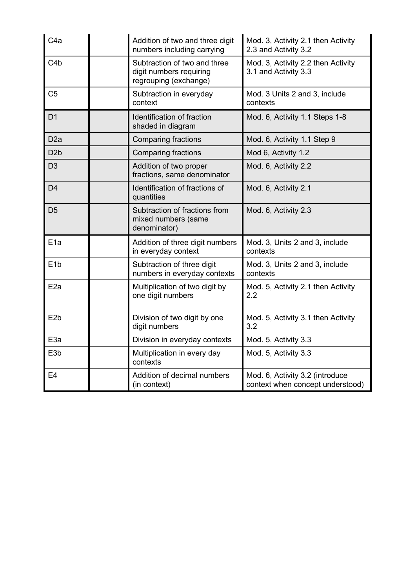| C <sub>4</sub> a | Addition of two and three digit<br>numbers including carrying                    | Mod. 3, Activity 2.1 then Activity<br>2.3 and Activity 3.2          |
|------------------|----------------------------------------------------------------------------------|---------------------------------------------------------------------|
| C4b              | Subtraction of two and three<br>digit numbers requiring<br>regrouping (exchange) | Mod. 3, Activity 2.2 then Activity<br>3.1 and Activity 3.3          |
| C <sub>5</sub>   | Subtraction in everyday<br>context                                               | Mod. 3 Units 2 and 3, include<br>contexts                           |
| D <sub>1</sub>   | Identification of fraction<br>shaded in diagram                                  | Mod. 6, Activity 1.1 Steps 1-8                                      |
| D <sub>2a</sub>  | <b>Comparing fractions</b>                                                       | Mod. 6, Activity 1.1 Step 9                                         |
| D <sub>2</sub> b | <b>Comparing fractions</b>                                                       | Mod 6, Activity 1.2                                                 |
| D <sub>3</sub>   | Addition of two proper<br>fractions, same denominator                            | Mod. 6, Activity 2.2                                                |
| D <sub>4</sub>   | Identification of fractions of<br>quantities                                     | Mod. 6, Activity 2.1                                                |
| D5               | Subtraction of fractions from<br>mixed numbers (same<br>denominator)             | Mod. 6, Activity 2.3                                                |
| E <sub>1a</sub>  | Addition of three digit numbers<br>in everyday context                           | Mod. 3, Units 2 and 3, include<br>contexts                          |
| E <sub>1b</sub>  | Subtraction of three digit<br>numbers in everyday contexts                       | Mod. 3, Units 2 and 3, include<br>contexts                          |
| E <sub>2a</sub>  | Multiplication of two digit by<br>one digit numbers                              | Mod. 5, Activity 2.1 then Activity<br>2.2                           |
| E <sub>2</sub> b | Division of two digit by one<br>digit numbers                                    | Mod. 5, Activity 3.1 then Activity<br>3.2                           |
| E <sub>3a</sub>  | Division in everyday contexts                                                    | Mod. 5, Activity 3.3                                                |
| E <sub>3</sub> b | Multiplication in every day<br>contexts                                          | Mod. 5, Activity 3.3                                                |
| E <sub>4</sub>   | Addition of decimal numbers<br>(in context)                                      | Mod. 6, Activity 3.2 (introduce<br>context when concept understood) |